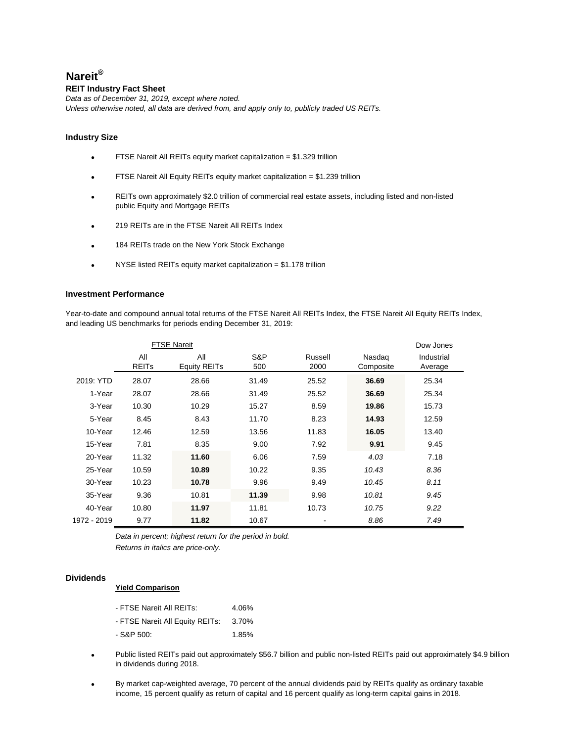# **Nareit®**

### **REIT Industry Fact Sheet**

*Data as of December 31, 2019, except where noted. Unless otherwise noted, all data are derived from, and apply only to, publicly traded US REITs.*

#### **Industry Size**

- FTSE Nareit All REITs equity market capitalization = \$1.329 trillion
- FTSE Nareit All Equity REITs equity market capitalization = \$1.239 trillion
- REITs own approximately \$2.0 trillion of commercial real estate assets, including listed and non-listed public Equity and Mortgage REITs
- 219 REITs are in the FTSE Nareit All REITs Index
- 184 REITs trade on the New York Stock Exchange
- NYSE listed REITs equity market capitalization = \$1.178 trillion

#### **Investment Performance**

Year-to-date and compound annual total returns of the FTSE Nareit All REITs Index, the FTSE Nareit All Equity REITs Index, and leading US benchmarks for periods ending December 31, 2019:

|             |                         | <b>FTSE Nareit</b>  |       |         |           | Dow Jones  |  |  |
|-------------|-------------------------|---------------------|-------|---------|-----------|------------|--|--|
|             | All                     | All                 | S&P   | Russell | Nasdag    | Industrial |  |  |
|             | <b>REIT<sub>s</sub></b> | <b>Equity REITs</b> | 500   | 2000    | Composite | Average    |  |  |
| 2019: YTD   | 28.07                   | 28.66               | 31.49 | 25.52   | 36.69     | 25.34      |  |  |
| 1-Year      | 28.07                   | 28.66               | 31.49 | 25.52   | 36.69     | 25.34      |  |  |
| 3-Year      | 10.30                   | 10.29               | 15.27 | 8.59    | 19.86     | 15.73      |  |  |
| 5-Year      | 8.45                    | 8.43                | 11.70 | 8.23    | 14.93     | 12.59      |  |  |
| 10-Year     | 12.46                   | 12.59               | 13.56 | 11.83   | 16.05     | 13.40      |  |  |
| 15-Year     | 7.81                    | 8.35                | 9.00  | 7.92    | 9.91      | 9.45       |  |  |
| 20-Year     | 11.32                   | 11.60               | 6.06  | 7.59    | 4.03      | 7.18       |  |  |
| 25-Year     | 10.59                   | 10.89               | 10.22 | 9.35    | 10.43     | 8.36       |  |  |
| 30-Year     | 10.23                   | 10.78               | 9.96  | 9.49    | 10.45     | 8.11       |  |  |
| 35-Year     | 9.36                    | 10.81               | 11.39 | 9.98    | 10.81     | 9.45       |  |  |
| 40-Year     | 10.80                   | 11.97               | 11.81 | 10.73   | 10.75     | 9.22       |  |  |
| 1972 - 2019 | 9.77                    | 11.82               | 10.67 |         | 8.86      | 7.49       |  |  |

*Data in percent; highest return for the period in bold. Returns in italics are price-only.*

### **Dividends**

#### **Yield Comparison**

| - FTSE Nareit All REITs:        | 4.06% |
|---------------------------------|-------|
| - FTSE Nareit All Equity REITs: | 3.70% |
| - S&P 500:                      | 1.85% |

- Public listed REITs paid out approximately \$56.7 billion and public non-listed REITs paid out approximately \$4.9 billion in dividends during 2018.
- By market cap-weighted average, 70 percent of the annual dividends paid by REITs qualify as ordinary taxable income, 15 percent qualify as return of capital and 16 percent qualify as long-term capital gains in 2018.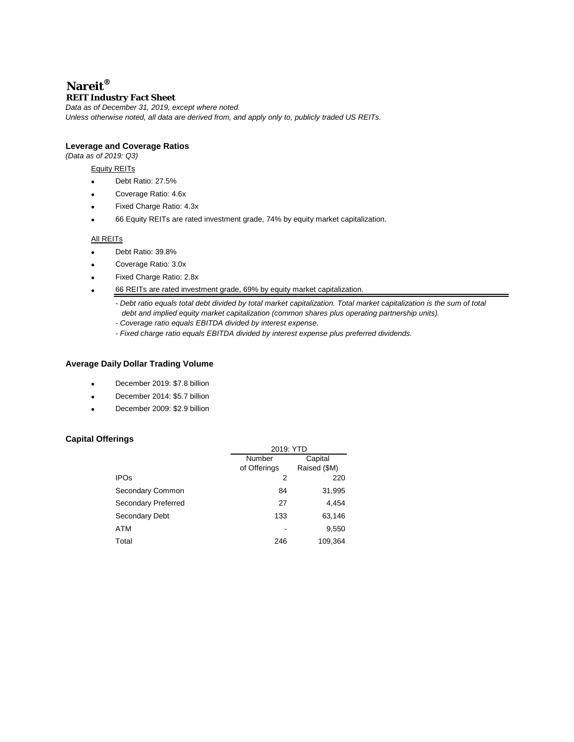## **Nareit® REIT Industry Fact Sheet**

*Data as of December 31, 2019, except where noted. Unless otherwise noted, all data are derived from, and apply only to, publicly traded US REITs.*

## **Leverage and Coverage Ratios**

*(Data as of 2019: Q3)*

### Equity REITs

- Debt Ratio: 27.5%
- Coverage Ratio: 4.6x
- Fixed Charge Ratio: 4.3x
- 66 Equity REITs are rated investment grade, 74% by equity market capitalization.

## All REITs

- Debt Ratio: 39.8%
- Coverage Ratio: 3.0x
- Fixed Charge Ratio: 2.8x
- 66 REITs are rated investment grade, 69% by equity market capitalization.
	- *Debt ratio equals total debt divided by total market capitalization. Total market capitalization is the sum of total debt and implied equity market capitalization (common shares plus operating partnership units).*
	- *Coverage ratio equals EBITDA divided by interest expense.*
	- *Fixed charge ratio equals EBITDA divided by interest expense plus preferred dividends.*

### **Average Daily Dollar Trading Volume**

- December 2019: \$7.8 billion
- December 2014: \$5.7 billion
- December 2009: \$2.9 billion

## **Capital Offerings**

|                     | 2019: YTD    |              |  |  |  |  |
|---------------------|--------------|--------------|--|--|--|--|
|                     | Number       | Capital      |  |  |  |  |
|                     | of Offerings | Raised (\$M) |  |  |  |  |
| <b>IPOs</b>         | 2            | 220          |  |  |  |  |
| Secondary Common    | 84           | 31,995       |  |  |  |  |
| Secondary Preferred | 27           | 4,454        |  |  |  |  |
| Secondary Debt      | 133          | 63,146       |  |  |  |  |
| <b>ATM</b>          |              | 9,550        |  |  |  |  |
| Total               | 246          | 109,364      |  |  |  |  |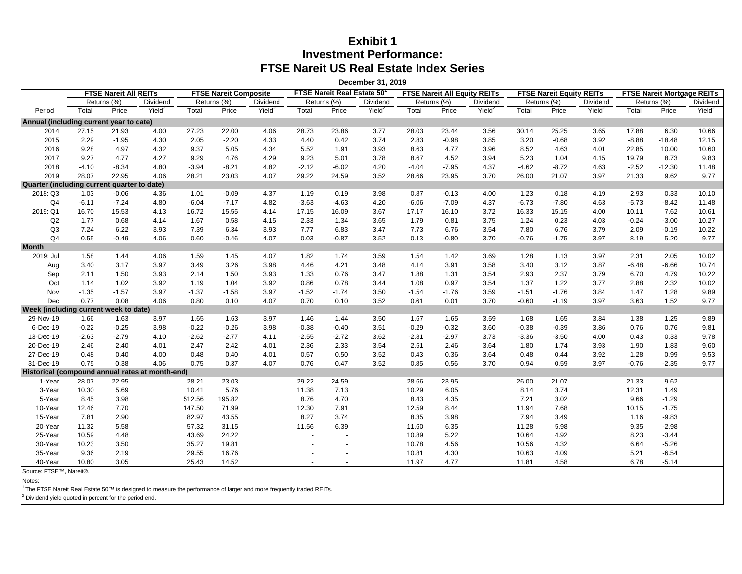## **Exhibit 1 Investment Performance: FTSE Nareit US Real Estate Index Series**

**December 31, 2019**

|                                                 | <b>FTSE Nareit All REITs</b> |             | <b>FTSE Nareit Composite</b> |         | <b>FTSE Nareit Real Estate 50</b> |                    | <b>FTSE Nareit All Equity REITs</b> |             |                    | <b>FTSE Nareit Equity REITs</b> |             |                    | <b>FTSE Nareit Mortgage REITs</b> |             |                    |         |             |                    |
|-------------------------------------------------|------------------------------|-------------|------------------------------|---------|-----------------------------------|--------------------|-------------------------------------|-------------|--------------------|---------------------------------|-------------|--------------------|-----------------------------------|-------------|--------------------|---------|-------------|--------------------|
|                                                 |                              | Returns (%) | Dividend                     |         | Returns (%)                       | Dividend           |                                     | Returns (%) | Dividend           |                                 | Returns (%) | Dividend           |                                   | Returns (%) | Dividend           |         | Returns (%) | Dividend           |
| Period                                          | Total                        | Price       | Yield <sup>2</sup>           | Total   | Price                             | Yield <sup>2</sup> | Total                               | Price       | Yield <sup>2</sup> | Total                           | Price       | Yield <sup>2</sup> | Total                             | Price       | Yield <sup>2</sup> | Total   | Price       | Yield <sup>2</sup> |
| Annual (including current year to date)         |                              |             |                              |         |                                   |                    |                                     |             |                    |                                 |             |                    |                                   |             |                    |         |             |                    |
| 2014                                            | 27.15                        | 21.93       | 4.00                         | 27.23   | 22.00                             | 4.06               | 28.73                               | 23.86       | 3.77               | 28.03                           | 23.44       | 3.56               | 30.14                             | 25.25       | 3.65               | 17.88   | 6.30        | 10.66              |
| 2015                                            | 2.29                         | $-1.95$     | 4.30                         | 2.05    | $-2.20$                           | 4.33               | 4.40                                | 0.42        | 3.74               | 2.83                            | $-0.98$     | 3.85               | 3.20                              | $-0.68$     | 3.92               | $-8.88$ | $-18.48$    | 12.15              |
| 2016                                            | 9.28                         | 4.97        | 4.32                         | 9.37    | 5.05                              | 4.34               | 5.52                                | 1.91        | 3.93               | 8.63                            | 4.77        | 3.96               | 8.52                              | 4.63        | 4.01               | 22.85   | 10.00       | 10.60              |
| 2017                                            | 9.27                         | 4.77        | 4.27                         | 9.29    | 4.76                              | 4.29               | 9.23                                | 5.01        | 3.78               | 8.67                            | 4.52        | 3.94               | 5.23                              | 1.04        | 4.15               | 19.79   | 8.73        | 9.83               |
| 2018                                            | $-4.10$                      | $-8.34$     | 4.80                         | $-3.94$ | $-8.21$                           | 4.82               | $-2.12$                             | $-6.02$     | 4.20               | $-4.04$                         | $-7.95$     | 4.37               | $-4.62$                           | $-8.72$     | 4.63               | $-2.52$ | $-12.30$    | 11.48              |
| 2019                                            | 28.07                        | 22.95       | 4.06                         | 28.21   | 23.03                             | 4.07               | 29.22                               | 24.59       | 3.52               | 28.66                           | 23.95       | 3.70               | 26.00                             | 21.07       | 3.97               | 21.33   | 9.62        | 9.77               |
| Quarter (including current quarter to date)     |                              |             |                              |         |                                   |                    |                                     |             |                    |                                 |             |                    |                                   |             |                    |         |             |                    |
| 2018: Q3                                        | 1.03                         | $-0.06$     | 4.36                         | 1.01    | $-0.09$                           | 4.37               | 1.19                                | 0.19        | 3.98               | 0.87                            | $-0.13$     | 4.00               | 1.23                              | 0.18        | 4.19               | 2.93    | 0.33        | 10.10              |
| Q <sub>4</sub>                                  | $-6.11$                      | $-7.24$     | 4.80                         | $-6.04$ | $-7.17$                           | 4.82               | $-3.63$                             | $-4.63$     | 4.20               | $-6.06$                         | $-7.09$     | 4.37               | $-6.73$                           | $-7.80$     | 4.63               | $-5.73$ | $-8.42$     | 11.48              |
| 2019: Q1                                        | 16.70                        | 15.53       | 4.13                         | 16.72   | 15.55                             | 4.14               | 17.15                               | 16.09       | 3.67               | 17.17                           | 16.10       | 3.72               | 16.33                             | 15.15       | 4.00               | 10.11   | 7.62        | 10.61              |
| Q2                                              | 1.77                         | 0.68        | 4.14                         | 1.67    | 0.58                              | 4.15               | 2.33                                | 1.34        | 3.65               | 1.79                            | 0.81        | 3.75               | 1.24                              | 0.23        | 4.03               | $-0.24$ | $-3.00$     | 10.27              |
| Q3                                              | 7.24                         | 6.22        | 3.93                         | 7.39    | 6.34                              | 3.93               | 7.77                                | 6.83        | 3.47               | 7.73                            | 6.76        | 3.54               | 7.80                              | 6.76        | 3.79               | 2.09    | $-0.19$     | 10.22              |
| Q <sub>4</sub>                                  | 0.55                         | $-0.49$     | 4.06                         | 0.60    | $-0.46$                           | 4.07               | 0.03                                | $-0.87$     | 3.52               | 0.13                            | $-0.80$     | 3.70               | $-0.76$                           | $-1.75$     | 3.97               | 8.19    | 5.20        | 9.77               |
| <b>Month</b>                                    |                              |             |                              |         |                                   |                    |                                     |             |                    |                                 |             |                    |                                   |             |                    |         |             |                    |
| 2019: Jul                                       | 1.58                         | 1.44        | 4.06                         | 1.59    | 1.45                              | 4.07               | 1.82                                | 1.74        | 3.59               | 1.54                            | 1.42        | 3.69               | 1.28                              | 1.13        | 3.97               | 2.31    | 2.05        | 10.02              |
| Aug                                             | 3.40                         | 3.17        | 3.97                         | 3.49    | 3.26                              | 3.98               | 4.46                                | 4.21        | 3.48               | 4.14                            | 3.91        | 3.58               | 3.40                              | 3.12        | 3.87               | $-6.48$ | $-6.66$     | 10.74              |
| Sep                                             | 2.11                         | 1.50        | 3.93                         | 2.14    | 1.50                              | 3.93               | 1.33                                | 0.76        | 3.47               | 1.88                            | 1.31        | 3.54               | 2.93                              | 2.37        | 3.79               | 6.70    | 4.79        | 10.22              |
| Oct                                             | 1.14                         | 1.02        | 3.92                         | 1.19    | 1.04                              | 3.92               | 0.86                                | 0.78        | 3.44               | 1.08                            | 0.97        | 3.54               | 1.37                              | 1.22        | 3.77               | 2.88    | 2.32        | 10.02              |
| Nov                                             | $-1.35$                      | $-1.57$     | 3.97                         | $-1.37$ | $-1.58$                           | 3.97               | $-1.52$                             | $-1.74$     | 3.50               | $-1.54$                         | $-1.76$     | 3.59               | $-1.51$                           | $-1.76$     | 3.84               | 1.47    | 1.28        | 9.89               |
| Dec                                             | 0.77                         | 0.08        | 4.06                         | 0.80    | 0.10                              | 4.07               | 0.70                                | 0.10        | 3.52               | 0.61                            | 0.01        | 3.70               | $-0.60$                           | $-1.19$     | 3.97               | 3.63    | 1.52        | 9.77               |
| Week (including current week to date)           |                              |             |                              |         |                                   |                    |                                     |             |                    |                                 |             |                    |                                   |             |                    |         |             |                    |
| 29-Nov-19                                       | 1.66                         | 1.63        | 3.97                         | 1.65    | 1.63                              | 3.97               | 1.46                                | 1.44        | 3.50               | 1.67                            | 1.65        | 3.59               | 1.68                              | 1.65        | 3.84               | 1.38    | 1.25        | 9.89               |
| 6-Dec-19                                        | $-0.22$                      | $-0.25$     | 3.98                         | $-0.22$ | $-0.26$                           | 3.98               | $-0.38$                             | $-0.40$     | 3.51               | $-0.29$                         | $-0.32$     | 3.60               | $-0.38$                           | $-0.39$     | 3.86               | 0.76    | 0.76        | 9.81               |
| 13-Dec-19                                       | $-2.63$                      | $-2.79$     | 4.10                         | $-2.62$ | $-2.77$                           | 4.11               | $-2.55$                             | $-2.72$     | 3.62               | $-2.81$                         | $-2.97$     | 3.73               | -3.36                             | $-3.50$     | 4.00               | 0.43    | 0.33        | 9.78               |
| 20-Dec-19                                       | 2.46                         | 2.40        | 4.01                         | 2.47    | 2.42                              | 4.01               | 2.36                                | 2.33        | 3.54               | 2.51                            | 2.46        | 3.64               | 1.80                              | 1.74        | 3.93               | 1.90    | 1.83        | 9.60               |
| 27-Dec-19                                       | 0.48                         | 0.40        | 4.00                         | 0.48    | 0.40                              | 4.01               | 0.57                                | 0.50        | 3.52               | 0.43                            | 0.36        | 3.64               | 0.48                              | 0.44        | 3.92               | 1.28    | 0.99        | 9.53               |
| 31-Dec-19                                       | 0.75                         | 0.38        | 4.06                         | 0.75    | 0.37                              | 4.07               | 0.76                                | 0.47        | 3.52               | 0.85                            | 0.56        | 3.70               | 0.94                              | 0.59        | 3.97               | $-0.76$ | $-2.35$     | 9.77               |
| Historical (compound annual rates at month-end) |                              |             |                              |         |                                   |                    |                                     |             |                    |                                 |             |                    |                                   |             |                    |         |             |                    |
| 1-Year                                          | 28.07                        | 22.95       |                              | 28.21   | 23.03                             |                    | 29.22                               | 24.59       |                    | 28.66                           | 23.95       |                    | 26.00                             | 21.07       |                    | 21.33   | 9.62        |                    |
| 3-Year                                          | 10.30                        | 5.69        |                              | 10.41   | 5.76                              |                    | 11.38                               | 7.13        |                    | 10.29                           | 6.05        |                    | 8.14                              | 3.74        |                    | 12.31   | 1.49        |                    |
| 5-Year                                          | 8.45                         | 3.98        |                              | 512.56  | 195.82                            |                    | 8.76                                | 4.70        |                    | 8.43                            | 4.35        |                    | 7.21                              | 3.02        |                    | 9.66    | $-1.29$     |                    |
| 10-Year                                         | 12.46                        | 7.70        |                              | 147.50  | 71.99                             |                    | 12.30                               | 7.91        |                    | 12.59                           | 8.44        |                    | 11.94                             | 7.68        |                    | 10.15   | $-1.75$     |                    |
| 15-Year                                         | 7.81                         | 2.90        |                              | 82.97   | 43.55                             |                    | 8.27                                | 3.74        |                    | 8.35                            | 3.98        |                    | 7.94                              | 3.49        |                    | 1.16    | $-9.83$     |                    |
| 20-Year                                         | 11.32                        | 5.58        |                              | 57.32   | 31.15                             |                    | 11.56                               | 6.39        |                    | 11.60                           | 6.35        |                    | 11.28                             | 5.98        |                    | 9.35    | $-2.98$     |                    |
| 25-Year                                         | 10.59                        | 4.48        |                              | 43.69   | 24.22                             |                    |                                     |             |                    | 10.89                           | 5.22        |                    | 10.64                             | 4.92        |                    | 8.23    | $-3.44$     |                    |
| 30-Year                                         | 10.23                        | 3.50        |                              | 35.27   | 19.81                             |                    |                                     |             |                    | 10.78                           | 4.56        |                    | 10.56                             | 4.32        |                    | 6.64    | $-5.26$     |                    |
| 35-Year                                         | 9.36                         | 2.19        |                              | 29.55   | 16.76                             |                    |                                     |             |                    | 10.81                           | 4.30        |                    | 10.63                             | 4.09        |                    | 5.21    | $-6.54$     |                    |
| 40-Year                                         | 10.80                        | 3.05        |                              | 25.43   | 14.52                             |                    | $\blacksquare$                      |             |                    | 11.97                           | 4.77        |                    | 11.81                             | 4.58        |                    | 6.78    | $-5.14$     |                    |

Source: FTSE™, Nareit®.

Notes:

1 The FTSE Nareit Real Estate 50™ is designed to measure the performance of larger and more frequently traded REITs.

<sup>2</sup> Dividend yield quoted in percent for the period end.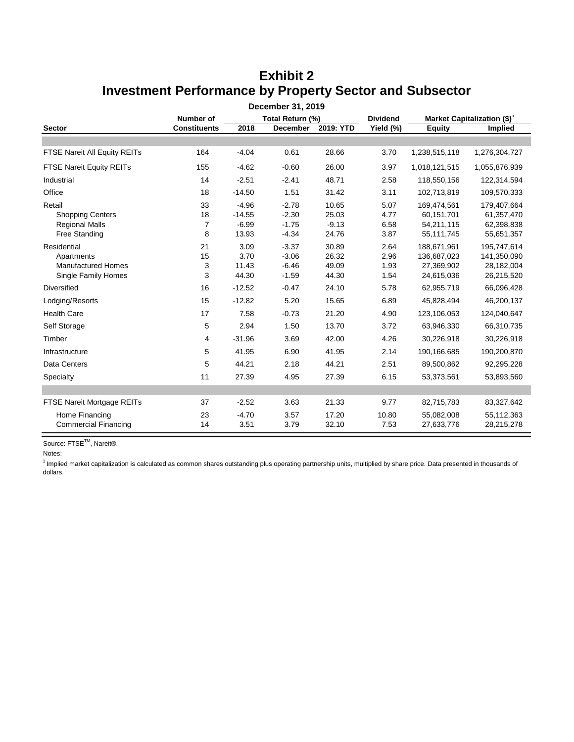| December 31, 2019                                                                    |                     |                                |                                          |                                  |                                         |                                                        |                                                        |  |  |  |
|--------------------------------------------------------------------------------------|---------------------|--------------------------------|------------------------------------------|----------------------------------|-----------------------------------------|--------------------------------------------------------|--------------------------------------------------------|--|--|--|
|                                                                                      | Number of           |                                | Total Return (%)                         | <b>Dividend</b>                  | Market Capitalization (\$) <sup>1</sup> |                                                        |                                                        |  |  |  |
| <b>Sector</b>                                                                        | <b>Constituents</b> | 2018                           | <b>December</b>                          | 2019: YTD                        | Yield (%)                               | <b>Equity</b>                                          | Implied                                                |  |  |  |
|                                                                                      |                     |                                |                                          |                                  |                                         |                                                        |                                                        |  |  |  |
| FTSE Nareit All Equity REITs                                                         | 164                 | $-4.04$                        | 0.61                                     | 28.66                            | 3.70                                    | 1,238,515,118                                          | 1,276,304,727                                          |  |  |  |
| FTSE Nareit Equity REITs                                                             | 155                 | $-4.62$                        | $-0.60$                                  | 26.00                            | 3.97                                    | 1,018,121,515                                          | 1,055,876,939                                          |  |  |  |
| Industrial                                                                           | 14                  | $-2.51$                        | $-2.41$                                  | 48.71                            | 2.58                                    | 118,550,156                                            | 122,314,594                                            |  |  |  |
| Office                                                                               | 18                  | $-14.50$                       | 1.51                                     | 31.42                            | 3.11                                    | 102,713,819                                            | 109,570,333                                            |  |  |  |
| Retail<br><b>Shopping Centers</b>                                                    | 33<br>18            | $-4.96$<br>$-14.55$            | $-2.78$<br>$-2.30$                       | 10.65<br>25.03                   | 5.07<br>4.77                            | 169,474,561<br>60,151,701                              | 179,407,664<br>61,357,470                              |  |  |  |
| <b>Regional Malls</b><br>Free Standing                                               | 7<br>8              | $-6.99$<br>13.93               | $-1.75$<br>$-4.34$                       | $-9.13$<br>24.76                 | 6.58<br>3.87                            | 54,211,115<br>55, 111, 745                             | 62,398,838<br>55,651,357                               |  |  |  |
| Residential<br>Apartments<br><b>Manufactured Homes</b><br><b>Single Family Homes</b> | 21<br>15<br>3<br>3  | 3.09<br>3.70<br>11.43<br>44.30 | $-3.37$<br>$-3.06$<br>$-6.46$<br>$-1.59$ | 30.89<br>26.32<br>49.09<br>44.30 | 2.64<br>2.96<br>1.93<br>1.54            | 188,671,961<br>136,687,023<br>27,369,902<br>24,615,036 | 195,747,614<br>141,350,090<br>28,182,004<br>26,215,520 |  |  |  |
| Diversified                                                                          | 16                  | $-12.52$                       | $-0.47$                                  | 24.10                            | 5.78                                    | 62,955,719                                             | 66,096,428                                             |  |  |  |
| Lodging/Resorts                                                                      | 15                  | $-12.82$                       | 5.20                                     | 15.65                            | 6.89                                    | 45,828,494                                             | 46,200,137                                             |  |  |  |
| <b>Health Care</b>                                                                   | 17                  | 7.58                           | $-0.73$                                  | 21.20                            | 4.90                                    | 123,106,053                                            | 124,040,647                                            |  |  |  |
| Self Storage                                                                         | 5                   | 2.94                           | 1.50                                     | 13.70                            | 3.72                                    | 63,946,330                                             | 66,310,735                                             |  |  |  |
| Timber                                                                               | 4                   | $-31.96$                       | 3.69                                     | 42.00                            | 4.26                                    | 30,226,918                                             | 30,226,918                                             |  |  |  |
| Infrastructure                                                                       | 5                   | 41.95                          | 6.90                                     | 41.95                            | 2.14                                    | 190,166,685                                            | 190,200,870                                            |  |  |  |
| Data Centers                                                                         | 5                   | 44.21                          | 2.18                                     | 44.21                            | 2.51                                    | 89,500,862                                             | 92,295,228                                             |  |  |  |
| Specialty                                                                            | 11                  | 27.39                          | 4.95                                     | 27.39                            | 6.15                                    | 53,373,561                                             | 53,893,560                                             |  |  |  |
|                                                                                      |                     |                                |                                          |                                  |                                         |                                                        |                                                        |  |  |  |
| FTSE Nareit Mortgage REITs                                                           | 37                  | $-2.52$                        | 3.63                                     | 21.33                            | 9.77                                    | 82,715,783                                             | 83,327,642                                             |  |  |  |
| Home Financing<br><b>Commercial Financing</b>                                        | 23<br>14            | $-4.70$<br>3.51                | 3.57<br>3.79                             | 17.20<br>32.10                   | 10.80<br>7.53                           | 55,082,008<br>27,633,776                               | 55,112,363<br>28,215,278                               |  |  |  |

# **Exhibit 2 Investment Performance by Property Sector and Subsector**

Source: FTSE<sup>™</sup>, Nareit®.

Notes:

<sup>1</sup> Implied market capitalization is calculated as common shares outstanding plus operating partnership units, multiplied by share price. Data presented in thousands of dollars.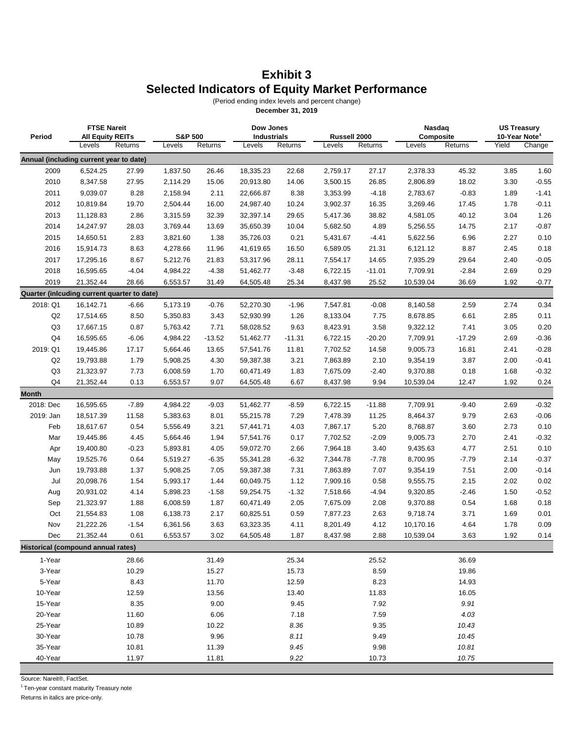## **Exhibit 3 Selected Indicators of Equity Market Performance**

(Period ending index levels and percent change)

**December 31, 2019**

| Period                                      | <b>FTSE Nareit</b><br><b>All Equity REITs</b> |                 | <b>S&amp;P 500</b>   |              | Dow Jones<br><b>Industrials</b> |              | Russell 2000         |                 | Nasdaq<br>Composite  |              | <b>US Treasury</b><br>10-Year Note <sup>1</sup> |                 |
|---------------------------------------------|-----------------------------------------------|-----------------|----------------------|--------------|---------------------------------|--------------|----------------------|-----------------|----------------------|--------------|-------------------------------------------------|-----------------|
|                                             | Levels                                        | Returns         | Levels               | Returns      | Levels                          | Returns      | Levels               | Returns         | Levels               | Returns      | Yield                                           | Change          |
| Annual (including current year to date)     |                                               |                 |                      |              |                                 |              |                      |                 |                      |              |                                                 |                 |
| 2009                                        | 6,524.25                                      | 27.99           | 1,837.50             | 26.46        | 18,335.23                       | 22.68        | 2,759.17             | 27.17           | 2,378.33             | 45.32        | 3.85                                            | 1.60            |
| 2010                                        | 8,347.58                                      | 27.95           | 2,114.29             | 15.06        | 20,913.80                       | 14.06        | 3,500.15             | 26.85           | 2,806.89             | 18.02        | 3.30                                            | $-0.55$         |
| 2011                                        | 9,039.07                                      | 8.28            | 2,158.94             | 2.11         | 22,666.87                       | 8.38         | 3,353.99             | $-4.18$         | 2,783.67             | $-0.83$      | 1.89                                            | $-1.41$         |
| 2012                                        | 10,819.84                                     | 19.70           | 2,504.44             | 16.00        | 24,987.40                       | 10.24        | 3,902.37             | 16.35           | 3,269.46             | 17.45        | 1.78                                            | $-0.11$         |
| 2013                                        | 11,128.83                                     | 2.86            | 3,315.59             | 32.39        | 32,397.14                       | 29.65        | 5,417.36             | 38.82           | 4,581.05             | 40.12        | 3.04                                            | 1.26            |
| 2014                                        | 14,247.97                                     | 28.03           | 3,769.44             | 13.69        | 35,650.39                       | 10.04        | 5,682.50             | 4.89            | 5,256.55             | 14.75        | 2.17                                            | $-0.87$         |
| 2015                                        | 14,650.51                                     | 2.83            | 3,821.60             | 1.38         | 35,726.03                       | 0.21         | 5,431.67             | $-4.41$         | 5,622.56             | 6.96         | 2.27                                            | 0.10            |
| 2016                                        | 15,914.73                                     | 8.63            | 4,278.66             | 11.96        | 41,619.65                       | 16.50        | 6,589.05             | 21.31           | 6,121.12             | 8.87         | 2.45                                            | 0.18            |
| 2017                                        | 17,295.16                                     | 8.67            | 5,212.76             | 21.83        | 53,317.96                       | 28.11        | 7,554.17             | 14.65           | 7,935.29             | 29.64        | 2.40                                            | $-0.05$         |
| 2018                                        | 16,595.65                                     | $-4.04$         | 4,984.22             | $-4.38$      | 51,462.77                       | $-3.48$      | 6,722.15             | $-11.01$        | 7,709.91             | $-2.84$      | 2.69                                            | 0.29            |
| 2019                                        | 21,352.44                                     | 28.66           | 6,553.57             | 31.49        | 64,505.48                       | 25.34        | 8,437.98             | 25.52           | 10,539.04            | 36.69        | 1.92                                            | $-0.77$         |
| Quarter (inlcuding current quarter to date) |                                               |                 |                      |              |                                 |              |                      |                 |                      |              |                                                 |                 |
| 2018: Q1                                    | 16,142.71                                     | $-6.66$         | 5,173.19             | $-0.76$      | 52,270.30                       | $-1.96$      | 7,547.81             | $-0.08$         | 8,140.58             | 2.59         | 2.74                                            | 0.34            |
| Q2                                          | 17,514.65                                     | 8.50            | 5,350.83             | 3.43         | 52,930.99                       | 1.26         | 8,133.04             | 7.75            | 8,678.85             | 6.61         | 2.85                                            | 0.11            |
| Q3                                          | 17,667.15                                     | 0.87            | 5,763.42             | 7.71         | 58,028.52                       | 9.63         | 8,423.91             | 3.58            | 9,322.12             | 7.41         | 3.05                                            | 0.20            |
| Q4                                          | 16,595.65                                     | $-6.06$         | 4,984.22             | $-13.52$     | 51,462.77                       | $-11.31$     | 6,722.15             | $-20.20$        | 7,709.91             | $-17.29$     | 2.69                                            | $-0.36$         |
| 2019: Q1                                    | 19,445.86                                     | 17.17           | 5,664.46             | 13.65        | 57,541.76                       | 11.81        | 7,702.52             | 14.58           | 9,005.73             | 16.81        | 2.41                                            | $-0.28$         |
| Q <sub>2</sub>                              | 19,793.88                                     | 1.79            | 5,908.25             | 4.30         | 59,387.38                       | 3.21         | 7,863.89             | 2.10            | 9,354.19             | 3.87         | 2.00                                            | $-0.41$         |
| Q3                                          | 21,323.97                                     | 7.73            | 6,008.59             | 1.70         | 60,471.49                       | 1.83         | 7,675.09             | $-2.40$         | 9,370.88             | 0.18         | 1.68                                            | $-0.32$         |
| Q4                                          | 21,352.44                                     | 0.13            | 6,553.57             | 9.07         | 64,505.48                       | 6.67         | 8,437.98             | 9.94            | 10,539.04            | 12.47        | 1.92                                            | 0.24            |
| <b>Month</b>                                |                                               |                 |                      |              |                                 |              |                      |                 |                      |              |                                                 |                 |
| 2018: Dec                                   | 16,595.65                                     | $-7.89$         | 4,984.22             | $-9.03$      | 51,462.77                       | $-8.59$      | 6,722.15             | $-11.88$        | 7,709.91             | $-9.40$      | 2.69                                            | $-0.32$         |
| 2019: Jan                                   | 18,517.39                                     | 11.58           | 5,383.63             | 8.01         | 55,215.78                       | 7.29         | 7,478.39             | 11.25           | 8,464.37             | 9.79         | 2.63                                            | $-0.06$         |
| Feb                                         | 18,617.67                                     | 0.54            | 5,556.49             | 3.21         | 57,441.71                       | 4.03         | 7,867.17             | 5.20            | 8,768.87             | 3.60         | 2.73                                            | 0.10            |
| Mar                                         | 19,445.86<br>19,400.80                        | 4.45<br>$-0.23$ | 5,664.46<br>5,893.81 | 1.94<br>4.05 | 57,541.76<br>59,072.70          | 0.17<br>2.66 | 7,702.52<br>7,964.18 | $-2.09$<br>3.40 | 9,005.73<br>9,435.63 | 2.70<br>4.77 | 2.41<br>2.51                                    | $-0.32$<br>0.10 |
| Apr<br>May                                  | 19,525.76                                     | 0.64            | 5,519.27             | $-6.35$      | 55,341.28                       | $-6.32$      | 7,344.78             | $-7.78$         | 8,700.95             | $-7.79$      | 2.14                                            | $-0.37$         |
| Jun                                         | 19,793.88                                     | 1.37            | 5,908.25             | 7.05         | 59,387.38                       | 7.31         | 7,863.89             | 7.07            | 9,354.19             | 7.51         | 2.00                                            | $-0.14$         |
| Jul                                         | 20,098.76                                     | 1.54            | 5,993.17             | 1.44         | 60,049.75                       | 1.12         | 7,909.16             | 0.58            | 9,555.75             | 2.15         | 2.02                                            | 0.02            |
| Aug                                         | 20,931.02                                     | 4.14            | 5,898.23             | $-1.58$      | 59,254.75                       | $-1.32$      | 7,518.66             | -4.94           | 9,320.85             | $-2.46$      | 1.50                                            | $-0.52$         |
| Sep                                         | 21,323.97                                     | 1.88            | 6,008.59             | 1.87         | 60,471.49                       | 2.05         | 7,675.09             | 2.08            | 9,370.88             | 0.54         | 1.68                                            | 0.18            |
| Oct                                         | 21,554.83                                     | 1.08            | 6,138.73             | 2.17         | 60,825.51                       | 0.59         | 7,877.23             | 2.63            | 9,718.74             | 3.71         | 1.69                                            | 0.01            |
| Nov                                         | 21,222.26                                     | $-1.54$         | 6,361.56             | 3.63         | 63,323.35                       | 4.11         | 8,201.49             | 4.12            | 10,170.16            | 4.64         | 1.78                                            | 0.09            |
| Dec                                         | 21,352.44                                     | 0.61            | 6,553.57             | 3.02         | 64,505.48                       | 1.87         | 8,437.98             | 2.88            | 10,539.04            | 3.63         | 1.92                                            | 0.14            |
| Historical (compound annual rates)          |                                               |                 |                      |              |                                 |              |                      |                 |                      |              |                                                 |                 |
| 1-Year                                      |                                               | 28.66           |                      | 31.49        |                                 | 25.34        |                      | 25.52           |                      | 36.69        |                                                 |                 |
| 3-Year                                      |                                               | 10.29           |                      | 15.27        |                                 | 15.73        |                      | 8.59            |                      | 19.86        |                                                 |                 |
| 5-Year                                      |                                               | 8.43            |                      | 11.70        |                                 | 12.59        |                      | 8.23            |                      | 14.93        |                                                 |                 |
| 10-Year                                     |                                               | 12.59           |                      | 13.56        |                                 | 13.40        |                      | 11.83           |                      | 16.05        |                                                 |                 |
| 15-Year                                     |                                               | 8.35            |                      | 9.00         |                                 | 9.45         |                      | 7.92            |                      | 9.91         |                                                 |                 |
| 20-Year                                     |                                               | 11.60           |                      | 6.06         |                                 | 7.18         |                      | 7.59            |                      | 4.03         |                                                 |                 |
| 25-Year                                     |                                               | 10.89           |                      | 10.22        |                                 | 8.36         |                      | 9.35            |                      | 10.43        |                                                 |                 |
| 30-Year                                     |                                               | 10.78           |                      | 9.96         |                                 | 8.11         |                      | 9.49            |                      | 10.45        |                                                 |                 |
| 35-Year                                     |                                               | 10.81           |                      | 11.39        |                                 | 9.45         |                      | 9.98            |                      | 10.81        |                                                 |                 |
| 40-Year                                     |                                               | 11.97           |                      | 11.81        |                                 | 9.22         |                      | 10.73           |                      | 10.75        |                                                 |                 |

Source: Nareit®, FactSet.

 $1$  Ten-year constant maturity Treasury note

Returns in italics are price-only.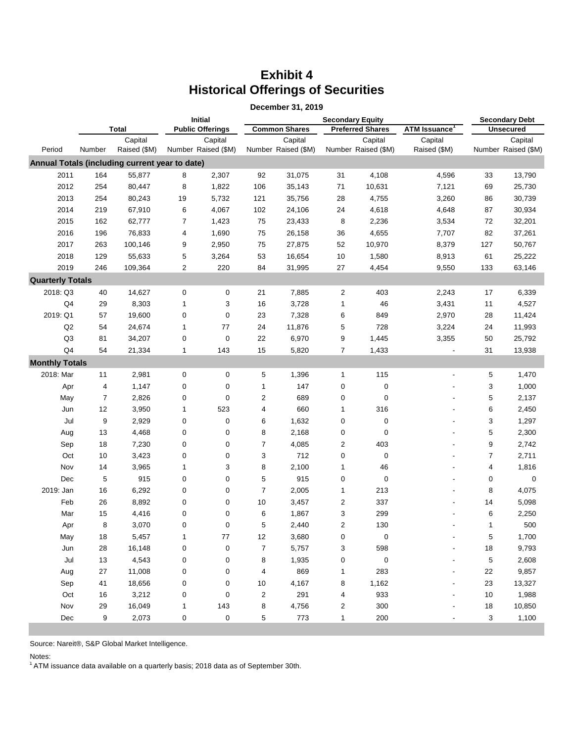## **Exhibit 4 Historical Offerings of Securities**

|                         |              |                                                |                         |                                |                         | December 31, 2019              |                  |                                |                           |                       |                                |  |
|-------------------------|--------------|------------------------------------------------|-------------------------|--------------------------------|-------------------------|--------------------------------|------------------|--------------------------------|---------------------------|-----------------------|--------------------------------|--|
|                         |              |                                                |                         | <b>Initial</b>                 |                         |                                |                  | <b>Secondary Equity</b>        |                           | <b>Secondary Debt</b> |                                |  |
|                         | <b>Total</b> |                                                |                         | <b>Public Offerings</b>        |                         | <b>Common Shares</b>           |                  | <b>Preferred Shares</b>        | ATM Issuance <sup>1</sup> |                       | <b>Unsecured</b>               |  |
| Period                  | Number       | Capital<br>Raised (\$M)                        |                         | Capital<br>Number Raised (\$M) |                         | Capital<br>Number Raised (\$M) |                  | Capital<br>Number Raised (\$M) | Capital<br>Raised (\$M)   |                       | Capital<br>Number Raised (\$M) |  |
|                         |              | Annual Totals (including current year to date) |                         |                                |                         |                                |                  |                                |                           |                       |                                |  |
| 2011                    | 164          | 55,877                                         | 8                       | 2,307                          | 92                      | 31,075                         | 31               | 4,108                          | 4,596                     | 33                    | 13,790                         |  |
| 2012                    | 254          | 80,447                                         | 8                       | 1,822                          | 106                     | 35,143                         | 71               | 10,631                         | 7,121                     | 69                    | 25,730                         |  |
| 2013                    | 254          | 80,243                                         | 19                      | 5,732                          | 121                     | 35,756                         | 28               | 4,755                          | 3,260                     | 86                    | 30,739                         |  |
| 2014                    | 219          | 67,910                                         | 6                       | 4,067                          | 102                     | 24,106                         | 24               | 4,618                          | 4,648                     | 87                    | 30,934                         |  |
| 2015                    | 162          | 62,777                                         | 7                       | 1,423                          | 75                      | 23,433                         | 8                | 2,236                          | 3,534                     | 72                    | 32,201                         |  |
| 2016                    | 196          | 76,833                                         | 4                       | 1,690                          | 75                      | 26,158                         | 36               | 4,655                          | 7,707                     | 82                    | 37,261                         |  |
| 2017                    | 263          | 100,146                                        | 9                       | 2,950                          | 75                      | 27,875                         | 52               | 10,970                         | 8,379                     | 127                   | 50,767                         |  |
| 2018                    | 129          | 55,633                                         | 5                       | 3,264                          | 53                      | 16,654                         | 10               | 1,580                          | 8,913                     | 61                    | 25,222                         |  |
| 2019                    | 246          | 109,364                                        | $\overline{\mathbf{c}}$ | 220                            | 84                      | 31,995                         | 27               | 4,454                          | 9,550                     | 133                   | 63,146                         |  |
| <b>Quarterly Totals</b> |              |                                                |                         |                                |                         |                                |                  |                                |                           |                       |                                |  |
| 2018: Q3                | 40           | 14,627                                         | $\pmb{0}$               | 0                              | 21                      | 7,885                          | 2                | 403                            | 2,243                     | 17                    | 6,339                          |  |
| Q <sub>4</sub>          | 29           | 8,303                                          | 1                       | 3                              | 16                      | 3,728                          | 1                | 46                             | 3,431                     | 11                    | 4,527                          |  |
| 2019: Q1                | 57           | 19,600                                         | $\pmb{0}$               | 0                              | 23                      | 7,328                          | 6                | 849                            | 2,970                     | 28                    | 11,424                         |  |
| Q2                      | 54           | 24,674                                         | 1                       | 77                             | 24                      | 11,876                         | 5                | 728                            | 3,224                     | 24                    | 11,993                         |  |
| Q3                      | 81           | 34,207                                         | $\pmb{0}$               | 0                              | 22                      | 6,970                          | 9                | 1,445                          | 3,355                     | 50                    | 25,792                         |  |
| Q <sub>4</sub>          | 54           | 21,334                                         | 1                       | 143                            | 15                      | 5,820                          | 7                | 1,433                          |                           | 31                    | 13,938                         |  |
| <b>Monthly Totals</b>   |              |                                                |                         |                                |                         |                                |                  |                                |                           |                       |                                |  |
| 2018: Mar               | 11           | 2,981                                          | $\pmb{0}$               | 0                              | 5                       | 1,396                          | 1                | 115                            | $\blacksquare$            | 5                     | 1,470                          |  |
| Apr                     | 4            | 1,147                                          | $\pmb{0}$               | 0                              | 1                       | 147                            | $\pmb{0}$        | $\pmb{0}$                      |                           | 3                     | 1,000                          |  |
| May                     | 7            | 2,826                                          | 0                       | 0                              | 2                       | 689                            | 0                | $\boldsymbol{0}$               |                           | 5                     | 2,137                          |  |
| Jun                     | 12           | 3,950                                          | 1                       | 523                            | 4                       | 660                            | 1                | 316                            |                           | 6                     | 2,450                          |  |
| Jul                     | 9            | 2,929                                          | 0                       | 0                              | 6                       | 1,632                          | 0                | $\boldsymbol{0}$               |                           | 3                     | 1,297                          |  |
| Aug                     | 13           | 4,468                                          | 0                       | 0                              | 8                       | 2,168                          | 0                | $\mathbf 0$                    |                           | 5                     | 2,300                          |  |
| Sep                     | 18           | 7,230                                          | 0                       | 0                              | $\overline{7}$          | 4,085                          | $\overline{c}$   | 403                            |                           | 9                     | 2,742                          |  |
| Oct                     | 10           | 3,423                                          | 0                       | 0                              | 3                       | 712                            | $\pmb{0}$        | $\boldsymbol{0}$               |                           | 7                     | 2,711                          |  |
| Nov                     | 14           | 3,965                                          | 1                       | 3                              | 8                       | 2,100                          | 1                | 46                             |                           | 4                     | 1,816                          |  |
| Dec                     | 5            | 915                                            | $\pmb{0}$               | 0                              | 5                       | 915                            | 0                | $\boldsymbol{0}$               |                           | 0                     | 0                              |  |
| 2019: Jan               | 16           | 6,292                                          | 0                       | 0                              | $\overline{7}$          | 2,005                          | 1                | 213                            |                           | 8                     | 4,075                          |  |
| Feb                     | 26           | 8,892                                          | 0                       | 0                              | 10                      | 3,457                          | 2                | 337                            |                           | 14                    | 5,098                          |  |
| Mar                     | 15           | 4,416                                          | 0                       | $\mathbf 0$                    | 6                       | 1,867                          | 3                | 299                            |                           | 6                     | 2,250                          |  |
| Apr                     | 8            | 3,070                                          | 0                       | 0                              | 5                       | 2,440                          | 2                | 130                            |                           | 1                     | 500                            |  |
| May                     | 18           | 5,457                                          | 1                       | $77$                           | 12                      | 3,680                          | $\pmb{0}$        | $\pmb{0}$                      |                           | 5                     | 1,700                          |  |
| Jun                     | 28           | 16,148                                         | 0                       | $\pmb{0}$                      | $\boldsymbol{7}$        | 5,757                          | 3                | 598                            |                           | 18                    | 9,793                          |  |
| Jul                     | 13           | 4,543                                          | 0                       | 0                              | 8                       | 1,935                          | 0                | $\pmb{0}$                      |                           | $\,$ 5 $\,$           | 2,608                          |  |
| Aug                     | $27\,$       | 11,008                                         | 0                       | 0                              | 4                       | 869                            | 1                | 283                            |                           | 22                    | 9,857                          |  |
| Sep                     | $41$         | 18,656                                         | 0                       | 0                              | 10                      | 4,167                          | 8                | 1,162                          |                           | 23                    | 13,327                         |  |
| Oct                     | 16           | 3,212                                          | 0                       | 0                              | $\overline{\mathbf{c}}$ | 291                            | 4                | 933                            |                           | $10$                  | 1,988                          |  |
| Nov                     | 29           | 16,049                                         | 1                       | 143                            | 8                       | 4,756                          | $\boldsymbol{2}$ | 300                            |                           | 18                    | 10,850                         |  |
| Dec                     | 9            | 2,073                                          | $\boldsymbol{0}$        | 0                              | 5                       | 773                            | $\mathbf{1}$     | 200                            |                           | 3                     | 1,100                          |  |

Source: Nareit®, S&P Global Market Intelligence.

Notes:

 $1$  ATM issuance data available on a quarterly basis; 2018 data as of September 30th.